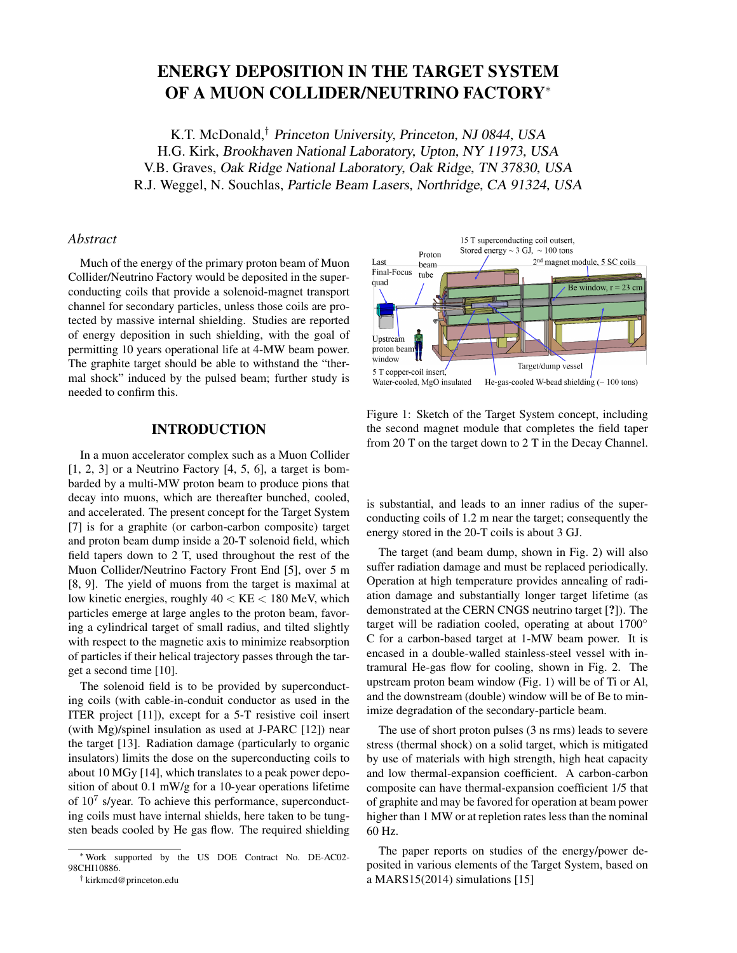# ENERGY DEPOSITION IN THE TARGET SYSTEM OF A MUON COLLIDER/NEUTRINO FACTORY<sup>∗</sup>

K.T. McDonald,† Princeton University, Princeton, NJ 0844, USA H.G. Kirk, Brookhaven National Laboratory, Upton, NY 11973, USA V.B. Graves, Oak Ridge National Laboratory, Oak Ridge, TN 37830, USA R.J. Weggel, N. Souchlas, Particle Beam Lasers, Northridge, CA 91324, USA

# *Abstract*

Much of the energy of the primary proton beam of Muon Collider/Neutrino Factory would be deposited in the superconducting coils that provide a solenoid-magnet transport channel for secondary particles, unless those coils are protected by massive internal shielding. Studies are reported of energy deposition in such shielding, with the goal of permitting 10 years operational life at 4-MW beam power. The graphite target should be able to withstand the "thermal shock" induced by the pulsed beam; further study is needed to confirm this.

# INTRODUCTION

In a muon accelerator complex such as a Muon Collider  $[1, 2, 3]$  or a Neutrino Factory  $[4, 5, 6]$ , a target is bombarded by a multi-MW proton beam to produce pions that decay into muons, which are thereafter bunched, cooled, and accelerated. The present concept for the Target System [7] is for a graphite (or carbon-carbon composite) target and proton beam dump inside a 20-T solenoid field, which field tapers down to 2 T, used throughout the rest of the Muon Collider/Neutrino Factory Front End [5], over 5 m [8, 9]. The yield of muons from the target is maximal at low kinetic energies, roughly  $40 < KE < 180$  MeV, which particles emerge at large angles to the proton beam, favoring a cylindrical target of small radius, and tilted slightly with respect to the magnetic axis to minimize reabsorption of particles if their helical trajectory passes through the target a second time [10].

The solenoid field is to be provided by superconducting coils (with cable-in-conduit conductor as used in the ITER project [11]), except for a 5-T resistive coil insert (with Mg)/spinel insulation as used at J-PARC [12]) near the target [13]. Radiation damage (particularly to organic insulators) limits the dose on the superconducting coils to about 10 MGy [14], which translates to a peak power deposition of about 0.1 mW/g for a 10-year operations lifetime of  $10^7$  s/year. To achieve this performance, superconducting coils must have internal shields, here taken to be tungsten beads cooled by He gas flow. The required shielding



Figure 1: Sketch of the Target System concept, including the second magnet module that completes the field taper from 20 T on the target down to 2 T in the Decay Channel.

is substantial, and leads to an inner radius of the superconducting coils of 1.2 m near the target; consequently the energy stored in the 20-T coils is about 3 GJ.

The target (and beam dump, shown in Fig. 2) will also suffer radiation damage and must be replaced periodically. Operation at high temperature provides annealing of radiation damage and substantially longer target lifetime (as demonstrated at the CERN CNGS neutrino target [?]). The target will be radiation cooled, operating at about 1700◦ C for a carbon-based target at 1-MW beam power. It is encased in a double-walled stainless-steel vessel with intramural He-gas flow for cooling, shown in Fig. 2. The upstream proton beam window (Fig. 1) will be of Ti or Al, and the downstream (double) window will be of Be to minimize degradation of the secondary-particle beam.

The use of short proton pulses (3 ns rms) leads to severe stress (thermal shock) on a solid target, which is mitigated by use of materials with high strength, high heat capacity and low thermal-expansion coefficient. A carbon-carbon composite can have thermal-expansion coefficient 1/5 that of graphite and may be favored for operation at beam power higher than 1 MW or at repletion rates less than the nominal 60 Hz.

The paper reports on studies of the energy/power deposited in various elements of the Target System, based on a MARS15(2014) simulations [15]

<sup>∗</sup>Work supported by the US DOE Contract No. DE-AC02- 98CHI10886.

<sup>†</sup> kirkmcd@princeton.edu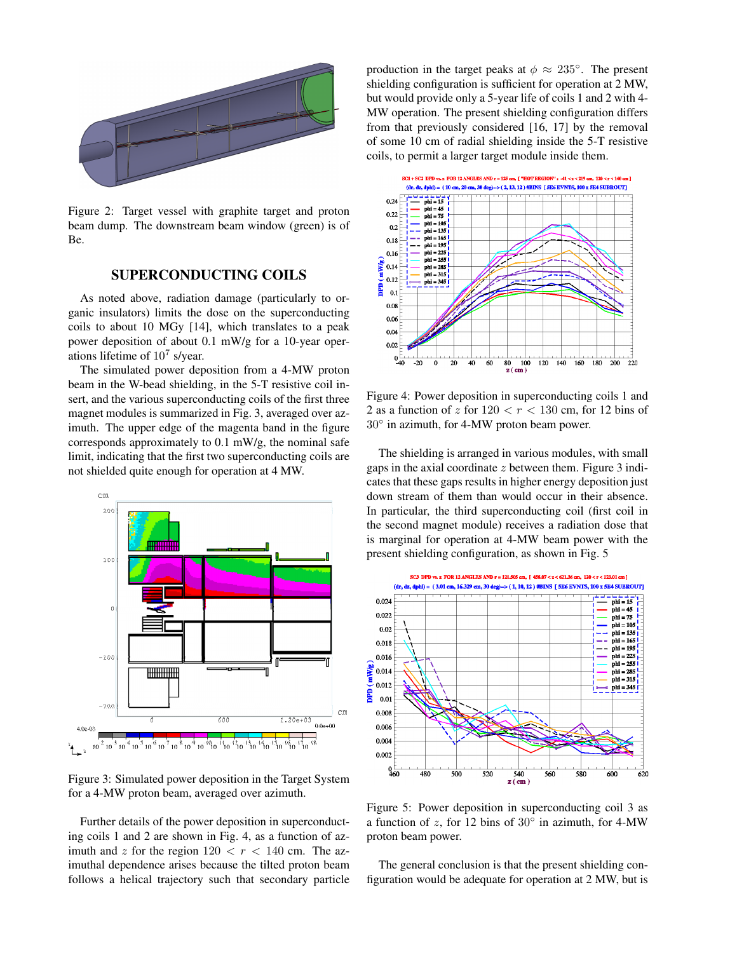

Figure 2: Target vessel with graphite target and proton beam dump. The downstream beam window (green) is of Be.

### SUPERCONDUCTING COILS

As noted above, radiation damage (particularly to organic insulators) limits the dose on the superconducting coils to about 10 MGy [14], which translates to a peak power deposition of about 0.1 mW/g for a 10-year operations lifetime of  $10^7$  s/year.

The simulated power deposition from a 4-MW proton beam in the W-bead shielding, in the 5-T resistive coil insert, and the various superconducting coils of the first three magnet modules is summarized in Fig. 3, averaged over azimuth. The upper edge of the magenta band in the figure corresponds approximately to 0.1 mW/g, the nominal safe limit, indicating that the first two superconducting coils are not shielded quite enough for operation at 4 MW.



Figure 3: Simulated power deposition in the Target System for a 4-MW proton beam, averaged over azimuth.

Further details of the power deposition in superconducting coils 1 and 2 are shown in Fig. 4, as a function of azimuth and z for the region  $120 < r < 140$  cm. The azimuthal dependence arises because the tilted proton beam follows a helical trajectory such that secondary particle

production in the target peaks at  $\phi \approx 235^{\circ}$ . The present shielding configuration is sufficient for operation at 2 MW, but would provide only a 5-year life of coils 1 and 2 with 4- MW operation. The present shielding configuration differs from that previously considered [16, 17] by the removal of some 10 cm of radial shielding inside the 5-T resistive coils, to permit a larger target module inside them.



Figure 4: Power deposition in superconducting coils 1 and 2 as a function of z for  $120 < r < 130$  cm, for 12 bins of 30◦ in azimuth, for 4-MW proton beam power.

The shielding is arranged in various modules, with small gaps in the axial coordinate  $z$  between them. Figure 3 indicates that these gaps results in higher energy deposition just down stream of them than would occur in their absence. In particular, the third superconducting coil (first coil in the second magnet module) receives a radiation dose that is marginal for operation at 4-MW beam power with the present shielding configuration, as shown in Fig. 5



Figure 5: Power deposition in superconducting coil 3 as a function of  $z$ , for 12 bins of  $30^\circ$  in azimuth, for 4-MW proton beam power.

The general conclusion is that the present shielding configuration would be adequate for operation at 2 MW, but is